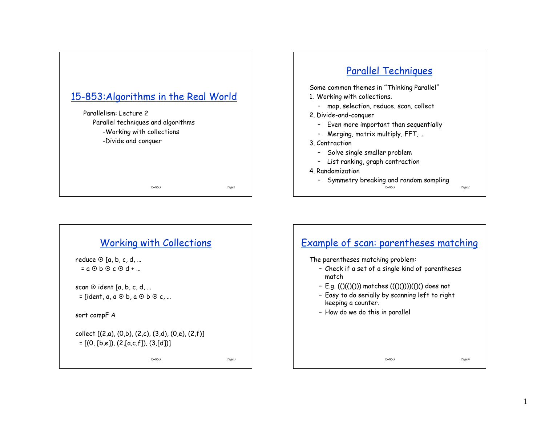

## Parallel Techniques

Some common themes in "Thinking Parallel" 1. Working with collections.

- map, selection, reduce, scan, collect
- 2. Divide-and-conquer
	- Even more important than sequentially
	- Merging, matrix multiply, FFT, …
- 3. Contraction
	- Solve single smaller problem
	- List ranking, graph contraction
- 4. Randomization
	- Symmetry breaking and random sampling

15-853 Page2



1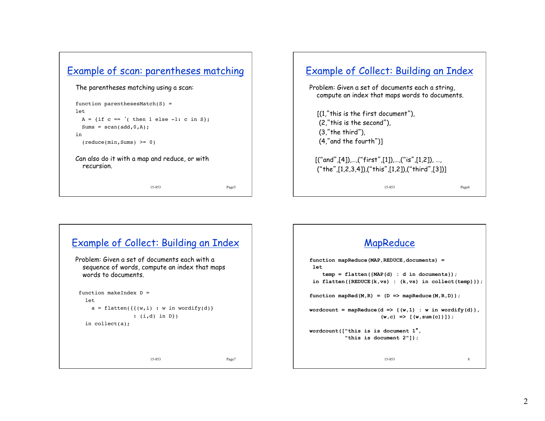

```
The parentheses matching using a scan: 
function parenthesesMatch(S) =
```

```
1e+A = \{ \text{if } c == ' (\text{ then } 1 \text{ else } -1: c \text{ in } S \};Sums = scan(add, 0, A);in
```

```
(\text{reduce}(\text{min},\text{Sums}) \geq 0)
```
Can also do it with a map and reduce, or with recursion.

15-853 Page5

# Example of Collect: Building an Index Problem: Given a set of documents each a string,

compute an index that maps words to documents.

 [(1,"this is the first document"), (2,"this is the second"), (3,"the third"), (4,"and the fourth")]

 $[("and", [4]),..., ("first", [1]),..., ("is", [1,2]),...$ ("the",[1,2,3,4]),("this",[1,2]),("third",[3])]

15-853 Page6



#### MapReduce **function mapReduce(MAP,REDUCE,documents) = let temp = flatten({MAP(d) : d in documents}); in flatten({REDUCE(k,vs) : (k,vs) in collect(temp)});**  function mapRed $(M,R) = (D \Rightarrow mapReduce(M,R,D))$ ;  $wordcount = mapReduce(d \implies \{(w,1) : w in wordify(d)\},$  $(w, c)$  =>  $((w, sum(c))$ ; **wordcount(["this is is document 1**"**, "this is document 2"]);**  15-853 8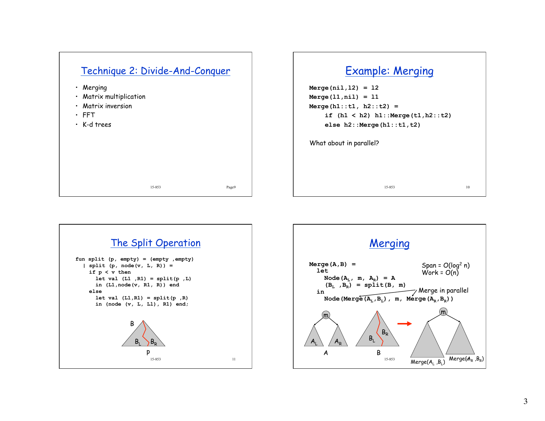

### Example: Merging

**Merge(nil,l2) = l2 Merge(l1,nil) = l1 Merge(h1::t1, h2::t2) = if (h1 < h2) h1::Merge(t1,h2::t2) else h2::Merge(h1::t1,t2)** 

15-853

What about in parallel?



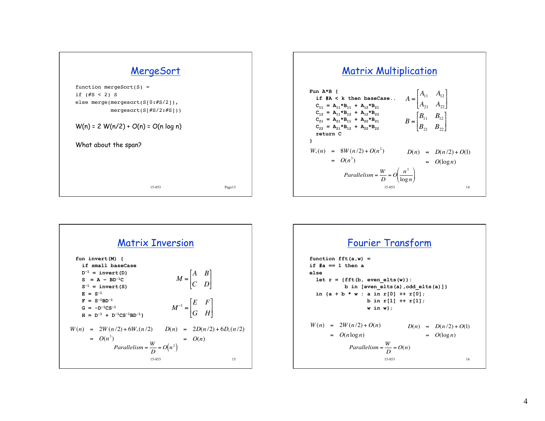





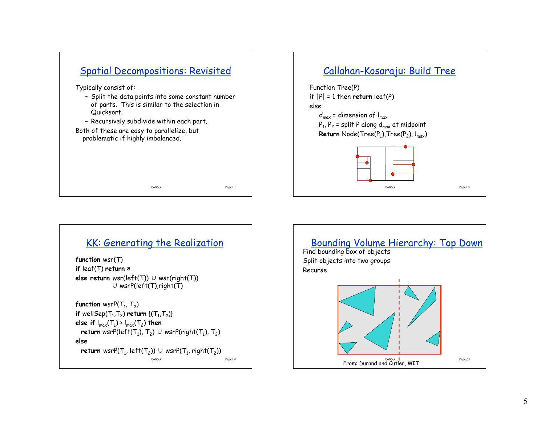

#### KK: Generating the Realization

**function** wsr(T) **if** leaf(T) **return** ∅ **else return** wsr(left(T)) ∪ wsr(right(T)) ∪ wsrP(left(T),right(T)

```
function wsrP(T_1, T_2)if wellSep(T_1, T_2) return {(T_1, T_2)}
else if I_{max}(T_1) > I_{max}(T_2) then
  return wsrP(left(T_1), T_2) ∪ wsrP(right(T_1), T_2)
else 
  return wsrP(T_1, left(T_2)) ∪ wsrP(T_1, right(T_2))
                          15-853 Page19
```